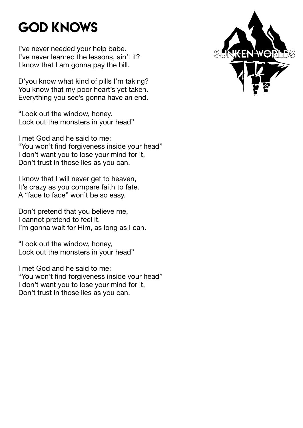### God Knows

I've never needed your help babe. I've never learned the lessons, ain't it? I know that I am gonna pay the bill.

D'you know what kind of pills I'm taking? You know that my poor heart's yet taken. Everything you see's gonna have an end.

"Look out the window, honey. Lock out the monsters in your head"

I met God and he said to me: "You won't find forgiveness inside your head" I don't want you to lose your mind for it, Don't trust in those lies as you can.

I know that I will never get to heaven, It's crazy as you compare faith to fate. A "face to face" won't be so easy.

Don't pretend that you believe me, I cannot pretend to feel it. I'm gonna wait for Him, as long as I can.

"Look out the window, honey, Lock out the monsters in your head"

I met God and he said to me: "You won't find forgiveness inside your head" I don't want you to lose your mind for it, Don't trust in those lies as you can.

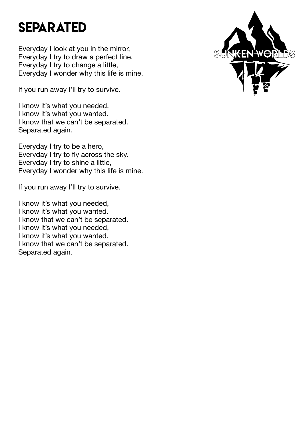#### **SEPARATED**

Everyday I look at you in the mirror, Everyday I try to draw a perfect line. Everyday I try to change a little, Everyday I wonder why this life is mine.

If you run away I'll try to survive.

I know it's what you needed, I know it's what you wanted. I know that we can't be separated. Separated again.

Everyday I try to be a hero, Everyday I try to fly across the sky. Everyday I try to shine a little, Everyday I wonder why this life is mine.

If you run away I'll try to survive.

I know it's what you needed, I know it's what you wanted. I know that we can't be separated. I know it's what you needed, I know it's what you wanted. I know that we can't be separated. Separated again.

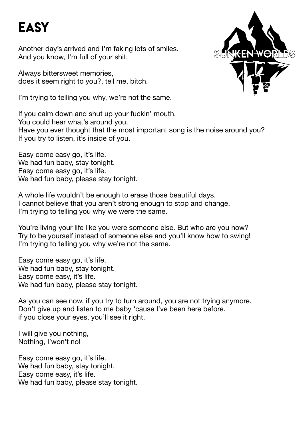## **EASY**

Another day's arrived and I'm faking lots of smiles. And you know, I'm full of your shit.

Always bittersweet memories, does it seem right to you?, tell me, bitch.

I'm trying to telling you why, we're not the same.



If you calm down and shut up your fuckin' mouth, You could hear what's around you. Have you ever thought that the most important song is the noise around you? If you try to listen, it's inside of you.

Easy come easy go, it's life. We had fun baby, stay tonight. Easy come easy go, it's life. We had fun baby, please stay tonight.

A whole life wouldn't be enough to erase those beautiful days. I cannot believe that you aren't strong enough to stop and change. I'm trying to telling you why we were the same.

You're living your life like you were someone else. But who are you now? Try to be yourself instead of someone else and you'll know how to swing! I'm trying to telling you why we're not the same.

Easy come easy go, it's life. We had fun baby, stay tonight. Easy come easy, it's life. We had fun baby, please stay tonight.

As you can see now, if you try to turn around, you are not trying anymore. Don't give up and listen to me baby 'cause I've been here before. if you close your eyes, you'll see it right.

I will give you nothing, Nothing, I'won't no!

Easy come easy go, it's life. We had fun baby, stay tonight. Easy come easy, it's life. We had fun baby, please stay tonight.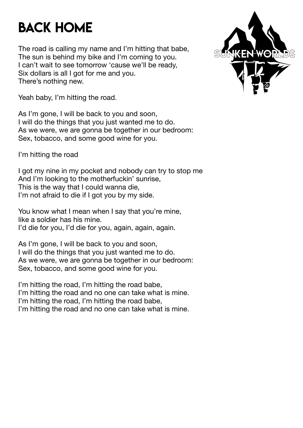## Back Home

The road is calling my name and I'm hitting that babe, The sun is behind my bike and I'm coming to you. I can't wait to see tomorrow 'cause we'll be ready, Six dollars is all I got for me and you. There's nothing new.



Yeah baby, I'm hitting the road.

As I'm gone, I will be back to you and soon, I will do the things that you just wanted me to do. As we were, we are gonna be together in our bedroom: Sex, tobacco, and some good wine for you.

I'm hitting the road

I got my nine in my pocket and nobody can try to stop me And I'm looking to the motherfuckin' sunrise, This is the way that I could wanna die, I'm not afraid to die if I got you by my side.

You know what I mean when I say that you're mine, like a soldier has his mine. I'd die for you, I'd die for you, again, again, again.

As I'm gone, I will be back to you and soon, I will do the things that you just wanted me to do. As we were, we are gonna be together in our bedroom: Sex, tobacco, and some good wine for you.

I'm hitting the road, I'm hitting the road babe, I'm hitting the road and no one can take what is mine. I'm hitting the road, I'm hitting the road babe, I'm hitting the road and no one can take what is mine.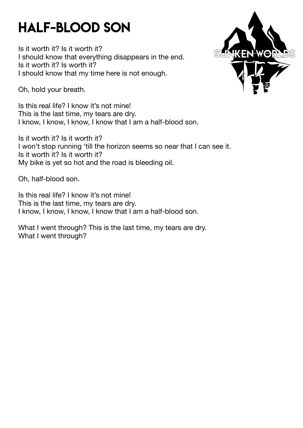### Half-Blood Son

Is it worth it? Is it worth it? I should know that everything disappears in the end. Is it worth it? Is worth it? I should know that my time here is not enough.

Oh, hold your breath.

Is this real life? I know it's not mine! This is the last time, my tears are dry. I know, I know, I know, I know that I am a half-blood son.

Is it worth it? Is it worth it? I won't stop running 'till the horizon seems so near that I can see it. Is it worth it? Is it worth it? My bike is yet so hot and the road is bleeding oil.

Oh, half-blood son.

Is this real life? I know it's not mine! This is the last time, my tears are dry. I know, I know, I know, I know that I am a half-blood son.

What I went through? This is the last time, my tears are dry. What I went through?

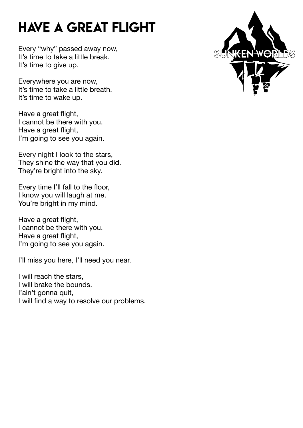# Have a great flight

Every "why" passed away now, It's time to take a little break. It's time to give up.

Everywhere you are now, It's time to take a little breath. It's time to wake up.

Have a great flight, I cannot be there with you. Have a great flight, I'm going to see you again.

Every night I look to the stars, They shine the way that you did. They're bright into the sky.

Every time I'll fall to the floor, I know you will laugh at me. You're bright in my mind.

Have a great flight, I cannot be there with you. Have a great flight, I'm going to see you again.

I'll miss you here, I'll need you near.

I will reach the stars, I will brake the bounds. I'ain't gonna quit, I will find a way to resolve our problems.

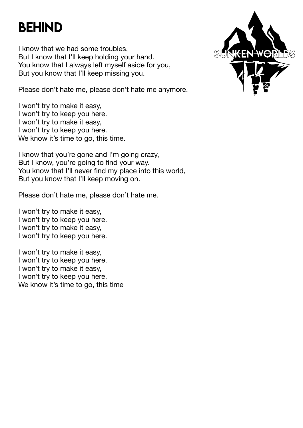### **BEHIND**

I know that we had some troubles, But I know that I'll keep holding your hand. You know that I always left myself aside for you, But you know that I'll keep missing you.

Please don't hate me, please don't hate me anymore.

I won't try to make it easy, I won't try to keep you here. I won't try to make it easy, I won't try to keep you here. We know it's time to go, this time.

I know that you're gone and I'm going crazy, But I know, you're going to find your way. You know that I'll never find my place into this world, But you know that I'll keep moving on.

Please don't hate me, please don't hate me.

I won't try to make it easy, I won't try to keep you here. I won't try to make it easy, I won't try to keep you here.

I won't try to make it easy, I won't try to keep you here. I won't try to make it easy, I won't try to keep you here. We know it's time to go, this time

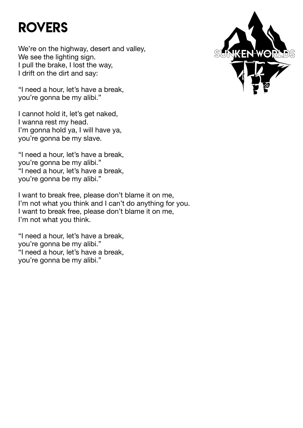## **ROVERS**

We're on the highway, desert and valley, We see the lighting sign. I pull the brake, I lost the way, I drift on the dirt and say:

"I need a hour, let's have a break, you're gonna be my alibi."

I cannot hold it, let's get naked, I wanna rest my head. I'm gonna hold ya, I will have ya, you're gonna be my slave.

"I need a hour, let's have a break, you're gonna be my alibi." "I need a hour, let's have a break, you're gonna be my alibi."

I want to break free, please don't blame it on me, I'm not what you think and I can't do anything for you. I want to break free, please don't blame it on me, I'm not what you think.

"I need a hour, let's have a break, you're gonna be my alibi." "I need a hour, let's have a break, you're gonna be my alibi."

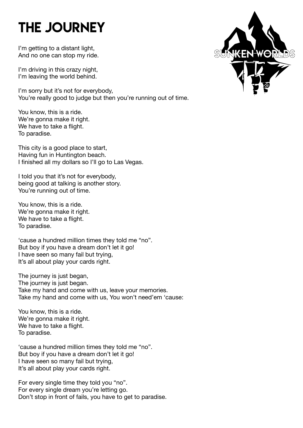# THE JOURNEY

I'm getting to a distant light, And no one can stop my ride.

I'm driving in this crazy night, I'm leaving the world behind.

I'm sorry but it's not for everybody, You're really good to judge but then you're running out of time.

You know, this is a ride. We're gonna make it right. We have to take a flight. To paradise.

This city is a good place to start, Having fun in Huntington beach. I finished all my dollars so I'll go to Las Vegas.

I told you that it's not for everybody, being good at talking is another story. You're running out of time.

You know, this is a ride. We're gonna make it right. We have to take a flight. To paradise.

'cause a hundred million times they told me "no". But boy if you have a dream don't let it go! I have seen so many fail but trying, It's all about play your cards right.

The journey is just began, The journey is just began. Take my hand and come with us, leave your memories. Take my hand and come with us, You won't need'em 'cause:

You know, this is a ride. We're gonna make it right. We have to take a flight. To paradise.

'cause a hundred million times they told me "no". But boy if you have a dream don't let it go! I have seen so many fail but trying, It's all about play your cards right.

For every single time they told you "no". For every single dream you're letting go. Don't stop in front of fails, you have to get to paradise.